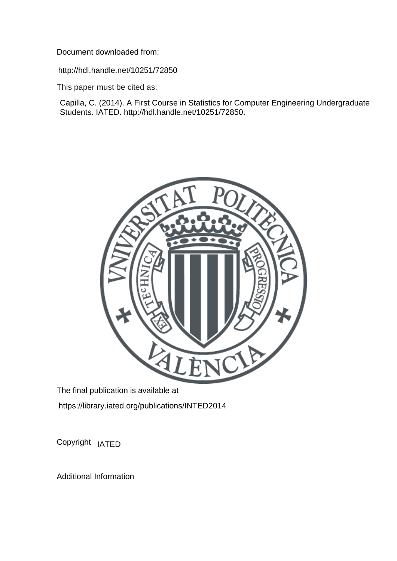Document downloaded from:

http://hdl.handle.net/10251/72850

This paper must be cited as:

Capilla, C. (2014). A First Course in Statistics for Computer Engineering Undergraduate Students. IATED. http://hdl.handle.net/10251/72850.



The final publication is available at https://library.iated.org/publications/INTED2014

Copyright IATED

Additional Information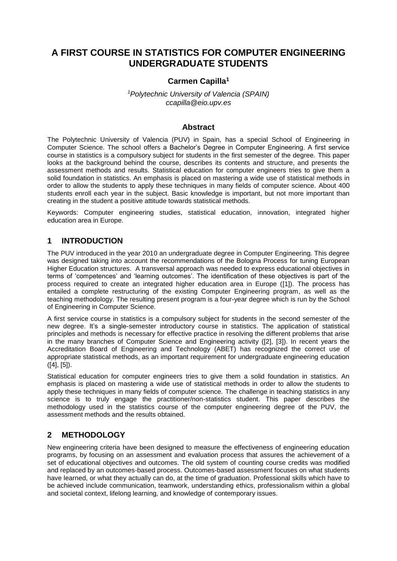# **A FIRST COURSE IN STATISTICS FOR COMPUTER ENGINEERING UNDERGRADUATE STUDENTS**

#### **Carmen Capilla<sup>1</sup>**

*<sup>1</sup>Polytechnic University of Valencia (SPAIN) ccapilla@eio.upv.es*

#### **Abstract**

The Polytechnic University of Valencia (PUV) in Spain, has a special School of Engineering in Computer Science. The school offers a Bachelor's Degree in Computer Engineering. A first service course in statistics is a compulsory subject for students in the first semester of the degree. This paper looks at the background behind the course, describes its contents and structure, and presents the assessment methods and results. Statistical education for computer engineers tries to give them a solid foundation in statistics. An emphasis is placed on mastering a wide use of statistical methods in order to allow the students to apply these techniques in many fields of computer science. About 400 students enroll each year in the subject. Basic knowledge is important, but not more important than creating in the student a positive attitude towards statistical methods.

Keywords: Computer engineering studies, statistical education, innovation, integrated higher education area in Europe.

#### **1 INTRODUCTION**

The PUV introduced in the year 2010 an undergraduate degree in Computer Engineering. This degree was designed taking into account the recommendations of the Bologna Process for tuning European Higher Education structures. A transversal approach was needed to express educational objectives in terms of 'competences' and 'learning outcomes'. The identification of these objectives is part of the process required to create an integrated higher education area in Europe ([1]). The process has entailed a complete restructuring of the existing Computer Engineering program, as well as the teaching methodology. The resulting present program is a four-year degree which is run by the School of Engineering in Computer Science.

A first service course in statistics is a compulsory subject for students in the second semester of the new degree. It's a single-semester introductory course in statistics. The application of statistical principles and methods is necessary for effective practice in resolving the different problems that arise in the many branches of Computer Science and Engineering activity ([2], [3]). In recent years the Accreditation Board of Engineering and Technology (ABET) has recognized the correct use of appropriate statistical methods, as an important requirement for undergraduate engineering education ([4], [5]).

Statistical education for computer engineers tries to give them a solid foundation in statistics. An emphasis is placed on mastering a wide use of statistical methods in order to allow the students to apply these techniques in many fields of computer science. The challenge in teaching statistics in any science is to truly engage the practitioner/non-statistics student. This paper describes the methodology used in the statistics course of the computer engineering degree of the PUV, the assessment methods and the results obtained.

# **2 METHODOLOGY**

New engineering criteria have been designed to measure the effectiveness of engineering education programs, by focusing on an assessment and evaluation process that assures the achievement of a set of educational objectives and outcomes. The old system of counting course credits was modified and replaced by an outcomes-based process. Outcomes-based assessment focuses on what students have learned, or what they actually can do, at the time of graduation. Professional skills which have to be achieved include communication, teamwork, understanding ethics, professionalism within a global and societal context, lifelong learning, and knowledge of contemporary issues.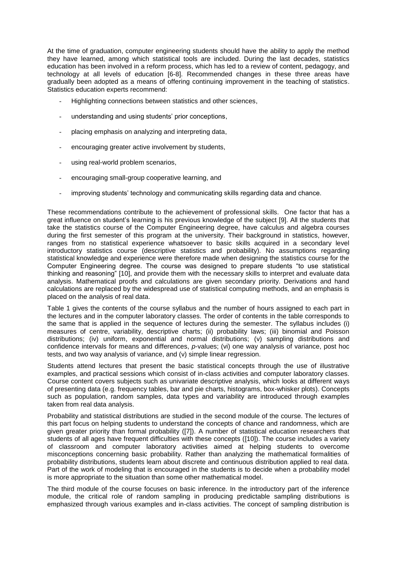At the time of graduation, computer engineering students should have the ability to apply the method they have learned, among which statistical tools are included. During the last decades, statistics education has been involved in a reform process, which has led to a review of content, pedagogy, and technology at all levels of education [6-8]. Recommended changes in these three areas have gradually been adopted as a means of offering continuing improvement in the teaching of statistics. Statistics education experts recommend:

- Highlighting connections between statistics and other sciences,
- understanding and using students' prior conceptions,
- placing emphasis on analyzing and interpreting data,
- encouraging greater active involvement by students,
- using real-world problem scenarios,
- encouraging small-group cooperative learning, and
- improving students' technology and communicating skills regarding data and chance.

These recommendations contribute to the achievement of professional skills. One factor that has a great influence on student's learning is his previous knowledge of the subject [9]. All the students that take the statistics course of the Computer Engineering degree, have calculus and algebra courses during the first semester of this program at the university. Their background in statistics, however, ranges from no statistical experience whatsoever to basic skills acquired in a secondary level introductory statistics course (descriptive statistics and probability). No assumptions regarding statistical knowledge and experience were therefore made when designing the statistics course for the Computer Engineering degree. The course was designed to prepare students "to use statistical thinking and reasoning" [10], and provide them with the necessary skills to interpret and evaluate data analysis. Mathematical proofs and calculations are given secondary priority. Derivations and hand calculations are replaced by the widespread use of statistical computing methods, and an emphasis is placed on the analysis of real data.

Table 1 gives the contents of the course syllabus and the number of hours assigned to each part in the lectures and in the computer laboratory classes. The order of contents in the table corresponds to the same that is applied in the sequence of lectures during the semester. The syllabus includes (i) measures of centre, variability, descriptive charts; (ii) probability laws; (iii) binomial and Poisson distributions; (iv) uniform, exponential and normal distributions; (v) sampling distributions and confidence intervals for means and differences, *p*-values; (vi) one way analysis of variance, post hoc tests, and two way analysis of variance, and (v) simple linear regression.

Students attend lectures that present the basic statistical concepts through the use of illustrative examples, and practical sessions which consist of in-class activities and computer laboratory classes. Course content covers subjects such as univariate descriptive analysis, which looks at different ways of presenting data (e.g. frequency tables, bar and pie charts, histograms, box-whisker plots). Concepts such as population, random samples, data types and variability are introduced through examples taken from real data analysis.

Probability and statistical distributions are studied in the second module of the course. The lectures of this part focus on helping students to understand the concepts of chance and randomness, which are given greater priority than formal probability ([7]). A number of statistical education researchers that students of all ages have frequent difficulties with these concepts ([10]). The course includes a variety of classroom and computer laboratory activities aimed at helping students to overcome misconceptions concerning basic probability. Rather than analyzing the mathematical formalities of probability distributions, students learn about discrete and continuous distribution applied to real data. Part of the work of modeling that is encouraged in the students is to decide when a probability model is more appropriate to the situation than some other mathematical model.

The third module of the course focuses on basic inference. In the introductory part of the inference module, the critical role of random sampling in producing predictable sampling distributions is emphasized through various examples and in-class activities. The concept of sampling distribution is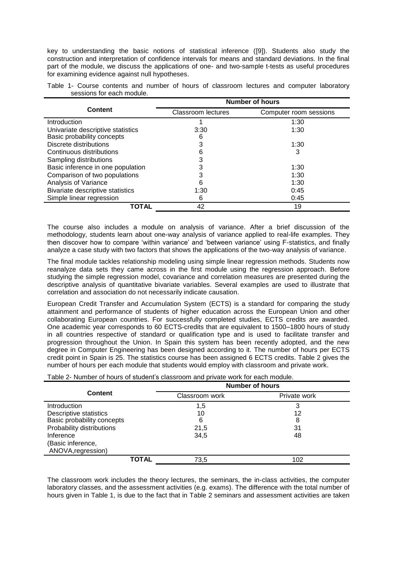key to understanding the basic notions of statistical inference ([9]). Students also study the construction and interpretation of confidence intervals for means and standard deviations. In the final part of the module, we discuss the applications of one- and two-sample t-tests as useful procedures for examining evidence against null hypotheses.

|                                   | <b>Number of hours</b>    |                        |  |
|-----------------------------------|---------------------------|------------------------|--|
| Content                           | <b>Classroom lectures</b> | Computer room sessions |  |
| Introduction                      |                           | 1:30                   |  |
| Univariate descriptive statistics | 3:30                      | 1:30                   |  |
| Basic probability concepts        | 6                         |                        |  |
| Discrete distributions            | 3                         | 1:30                   |  |
| Continuous distributions          | 6                         | 3                      |  |
| Sampling distributions            | 3                         |                        |  |
| Basic inference in one population | 3                         | 1:30                   |  |
| Comparison of two populations     | 3                         | 1:30                   |  |
| Analysis of Variance              | 6                         | 1:30                   |  |
| Bivariate descriptive statistics  | 1:30                      | 0:45                   |  |
| Simple linear regression          | 6                         | 0:45                   |  |
| <b>TOTAL</b>                      | 42                        | 19                     |  |

Table 1- Course contents and number of hours of classroom lectures and computer laboratory sessions for each module.

The course also includes a module on analysis of variance. After a brief discussion of the methodology, students learn about one-way analysis of variance applied to real-life examples. They then discover how to compare 'within variance' and 'between variance' using F-statistics, and finally analyze a case study with two factors that shows the applications of the two-way analysis of variance.

The final module tackles relationship modeling using simple linear regression methods. Students now reanalyze data sets they came across in the first module using the regression approach. Before studying the simple regression model, covariance and correlation measures are presented during the descriptive analysis of quantitative bivariate variables. Several examples are used to illustrate that correlation and association do not necessarily indicate causation.

European Credit Transfer and Accumulation System (ECTS) is a standard for comparing the study attainment and performance of students of [higher education](http://en.wikipedia.org/wiki/Higher_education) across the [European Union](http://en.wikipedia.org/wiki/European_Union) and other collaborating European countries. For successfully completed studies, ECTS credits are awarded. One academic year corresponds to 60 ECTS-credits that are equivalent to 1500–1800 hours of study in all countries respective of standard or qualification type and is used to facilitate transfer and progression throughout the Union. In Spain this system has been recently adopted, and the new degree in Computer Engineering has been designed according to it. The number of hours per ECTS credit point in Spain is 25. The statistics course has been assigned 6 ECTS credits. Table 2 gives the number of hours per each module that students would employ with classroom and private work.

Table 2- Number of hours of student's classroom and private work for each module.

|                            | <b>Number of hours</b> |              |  |
|----------------------------|------------------------|--------------|--|
| <b>Content</b>             | Classroom work         | Private work |  |
| <b>Introduction</b>        | 1,5                    | 3            |  |
| Descriptive statistics     | 10                     | 12           |  |
| Basic probability concepts | 6                      | 8            |  |
| Probability distributions  | 21,5                   | 31           |  |
| Inference                  | 34,5                   | 48           |  |
| (Basic inference,          |                        |              |  |
| ANOVA, regression)         |                        |              |  |
| TOTAL                      | 73,5                   | 102          |  |

The classroom work includes the theory lectures, the seminars, the in-class activities, the computer laboratory classes, and the assessment activities (e.g. exams). The difference with the total number of hours given in Table 1, is due to the fact that in Table 2 seminars and assessment activities are taken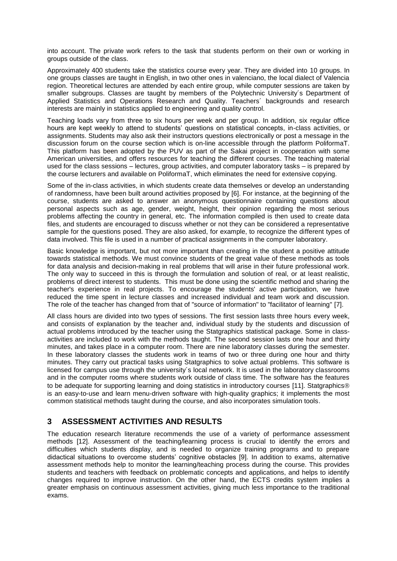into account. The private work refers to the task that students perform on their own or working in groups outside of the class.

Approximately 400 students take the statistics course every year. They are divided into 10 groups. In one groups classes are taught in English, in two other ones in valenciano, the local dialect of Valencia region. Theoretical lectures are attended by each entire group, while computer sessions are taken by smaller subgroups. Classes are taught by members of the Polytechnic University´s Department of Applied Statistics and Operations Research and Quality. Teachers´ backgrounds and research interests are mainly in statistics applied to engineering and quality control.

Teaching loads vary from three to six hours per week and per group. In addition, six regular office hours are kept weekly to attend to students' questions on statistical concepts, in-class activities, or assignments. Students may also ask their instructors questions electronically or post a message in the discussion forum on the course section which is on-line accessible through the platform PoliformaT. This platform has been adopted by the PUV as part of the Sakai project in cooperation with some American universities, and offers resources for teaching the different courses. The teaching material used for the class sessions – lectures, group activities, and computer laboratory tasks – is prepared by the course lecturers and available on PoliformaT, which eliminates the need for extensive copying.

Some of the in-class activities, in which students create data themselves or develop an understanding of randomness, have been built around activities proposed by [6]. For instance, at the beginning of the course, students are asked to answer an anonymous questionnaire containing questions about personal aspects such as age, gender, weight, height, their opinion regarding the most serious problems affecting the country in general, etc. The information compiled is then used to create data files, and students are encouraged to discuss whether or not they can be considered a representative sample for the questions posed. They are also asked, for example, to recognize the different types of data involved. This file is used in a number of practical assignments in the computer laboratory.

Basic knowledge is important, but not more important than creating in the student a positive attitude towards statistical methods. We must convince students of the great value of these methods as tools for data analysis and decision-making in real problems that will arise in their future professional work. The only way to succeed in this is through the formulation and solution of real, or at least realistic, problems of direct interest to students. This must be done using the scientific method and sharing the teacher's experience in real projects. To encourage the students' active participation, we have reduced the time spent in lecture classes and increased individual and team work and discussion. The role of the teacher has changed from that of "source of information" to "facilitator of learning" [7].

All class hours are divided into two types of sessions. The first session lasts three hours every week, and consists of explanation by the teacher and, individual study by the students and discussion of actual problems introduced by the teacher using the Statgraphics statistical package. Some in classactivities are included to work with the methods taught. The second session lasts one hour and thirty minutes, and takes place in a computer room. There are nine laboratory classes during the semester. In these laboratory classes the students work in teams of two or three during one hour and thirty minutes. They carry out practical tasks using Statgraphics to solve actual problems. This software is licensed for campus use through the university´s local network. It is used in the laboratory classrooms and in the computer rooms where students work outside of class time. The software has the features to be adequate for supporting learning and doing statistics in introductory courses [11]. Statgraphics<sup>®</sup> is an easy-to-use and learn menu-driven software with high-quality graphics; it implements the most common statistical methods taught during the course, and also incorporates simulation tools.

## **3 ASSESSMENT ACTIVITIES AND RESULTS**

The education research literature recommends the use of a variety of performance assessment methods [12]. Assessment of the teaching/learning process is crucial to identify the errors and difficulties which students display, and is needed to organize training programs and to prepare didactical situations to overcome students' cognitive obstacles [9]. In addition to exams, alternative assessment methods help to monitor the learning/teaching process during the course. This provides students and teachers with feedback on problematic concepts and applications, and helps to identify changes required to improve instruction. On the other hand, the ECTS credits system implies a greater emphasis on continuous assessment activities, giving much less importance to the traditional exams.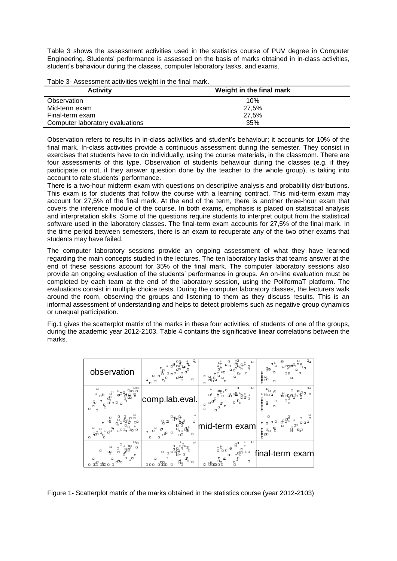Table 3 shows the assessment activities used in the statistics course of PUV degree in Computer Engineering. Students' performance is assessed on the basis of marks obtained in in-class activities, student's behaviour during the classes, computer laboratory tasks, and exams.

| <b>Table of Assessment activities weight in the miar many.</b> |                          |
|----------------------------------------------------------------|--------------------------|
| <b>Activity</b>                                                | Weight in the final mark |
| Observation                                                    | 10%                      |
| Mid-term exam                                                  | 27.5%                    |
| Final-term exam                                                | 27.5%                    |
| Computer laboratory evaluations                                | 35%                      |

Table 3- Assessment activities weight in the final mark.

Observation refers to results in in-class activities and student's behaviour; it accounts for 10% of the final mark. In-class activities provide a continuous assessment during the semester. They consist in exercises that students have to do individually, using the course materials, in the classroom. There are four assessments of this type. Observation of students behaviour during the classes (e.g. if they participate or not, if they answer question done by the teacher to the whole group), is taking into account to rate students' performance.

There is a two-hour midterm exam with questions on descriptive analysis and probability distributions. This exam is for students that follow the course with a learning contract. This mid-term exam may account for 27,5% of the final mark. At the end of the term, there is another three-hour exam that covers the inference module of the course. In both exams, emphasis is placed on statistical analysis and interpretation skills. Some of the questions require students to interpret output from the statistical software used in the laboratory classes. The final-term exam accounts for 27,5% of the final mark. In the time period between semesters, there is an exam to recuperate any of the two other exams that students may have failed.

The computer laboratory sessions provide an ongoing assessment of what they have learned regarding the main concepts studied in the lectures. The ten laboratory tasks that teams answer at the end of these sessions account for 35% of the final mark. The computer laboratory sessions also provide an ongoing evaluation of the students' performance in groups. An on-line evaluation must be completed by each team at the end of the laboratory session, using the PoliformaT platform. The evaluations consist in multiple choice tests. During the computer laboratory classes, the lecturers walk around the room, observing the groups and listening to them as they discuss results. This is an informal assessment of understanding and helps to detect problems such as negative group dynamics or unequal participation.

Fig.1 gives the scatterplot matrix of the marks in these four activities, of students of one of the groups, during the academic year 2012-2103. Table 4 contains the significative linear correlations between the marks.

| observation                                                                                                                                                                                                                                      | ც<br>₿,<br>₽<br>□<br>▫<br>п<br>$\Box$<br>$\Box$<br>$\Box$<br>Ω<br>₠<br>o<br>$\Box$                                      | œ<br>웗<br>α<br>о<br>Я<br>α<br>o<br>ά<br>Oπ<br>$\Box$<br>⊡⊓<br>α<br>ο<br>⊞⊢⊡<br>O                                                       | ъ<br>Ω<br>m<br>Ċ<br>α<br>即<br>É<br>$\Box$<br>O<br>口目<br>o<br>$\Box$                                                                             |
|--------------------------------------------------------------------------------------------------------------------------------------------------------------------------------------------------------------------------------------------------|-------------------------------------------------------------------------------------------------------------------------|----------------------------------------------------------------------------------------------------------------------------------------|-------------------------------------------------------------------------------------------------------------------------------------------------|
| $\Box$ $\Box$<br>$\Box$<br>⊕oo<br>⊞ূ∯<br>afte<br>F<br>ge<br>Pe<br>$\Box$<br>$\mathbf{e}^{\mathbf{B}}$<br>$\mathbf{e}^{\mathbf{0}^{\mathbf{t}}}$<br>岊<br>o<br>ъ<br>$\Box$<br>$\Box$<br>Ω<br>$\frac{\Omega}{\Omega}$<br>$\Box$<br>$\Box$<br>$\Box$ | comp.lab.eval.                                                                                                          | O<br>α<br>$\Box$<br>體。<br>ச<br>⊕<br>品<br>$\Box$<br>- 무.<br>$\mathbf{e}_{\mathbf{p}}$<br>$\Box$<br>α<br>$\Box$<br>о<br>$\Box$<br>$\Box$ | œ<br>$\mathbf{u}_\mathrm{D}$<br>о<br>திு<br>回<br>08oo<br>$\Box$<br>田田田<br>α<br>$\blacksquare$<br>□<br>o                                         |
| $\Box$<br>$\frac{0}{10}$<br>몹<br>$\frac{0}{9}$<br>п<br>Ò<br>$\overline{\phantom{a}}^{\phantom{\dagger}}_{\phantom{\dagger}}$<br>$\Box$<br>о<br>몖<br>品<br>□                                                                                       | ο<br>밈<br>$\Box$<br>ďď<br>$\Box$<br>$\Box$<br>о<br>$\Box$<br>ക്<br>oΩ<br>$\Box$<br>$\Box$<br>$\Box$                     | id-term exam                                                                                                                           | о<br>$\Box$<br>유많<br>$\Box$<br>о<br>$\Box$ $\Box$ $\Box$<br>$\Box$<br>$\Box$<br>$\Box$<br>Œ<br>$\mathbf{g}$<br>밈<br>ሞ<br>$\frac{d^2}{d^2}$<br>Į |
| $\overline{\mathsf{p}}_{\mathsf{G}}$<br>$\Box$<br>F<br>$\Box$<br>$\Box$<br>□<br>흽<br>$\Box$<br>$\Box$<br>円<br>o<br>$n^{\square}$<br>Ω<br>$\Box$<br>⋴₽⋴<br>喦<br>п⊞п<br>$\Box$                                                                     | 母<br>c<br>□<br>ŏп<br>$\mathbb{P}_{\!\scriptscriptstyle\mathrm{D}}$<br>$\Box$<br>٩,<br>$\Box$<br>$n_{\rm H}$<br>000<br>п | $\Box$<br>о<br>$\Box$<br>멻<br>画<br>சி™<br>Ω<br>$\overline{f}_{B}$<br>日<br>ロ<br>$\mathbf{m}$<br>$\Box$<br>XЯ<br>甬<br>$\Box$             | al-term exam                                                                                                                                    |

Figure 1- Scatterplot matrix of the marks obtained in the statistics course (year 2012-2103)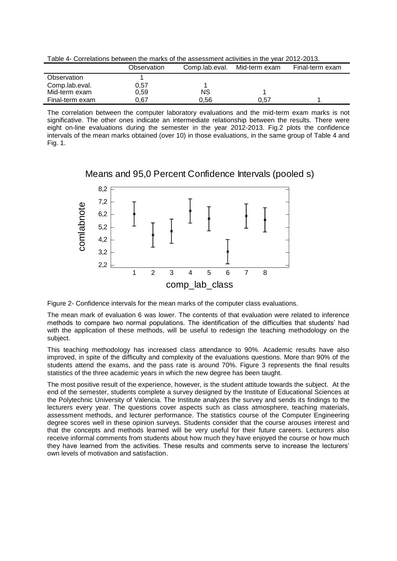Table 4- Correlations between the marks of the assessment activities in the year 2012-2013.

|                 | Observation | Comp.lab.eval. | Mid-term exam | Final-term exam |
|-----------------|-------------|----------------|---------------|-----------------|
| Observation     |             |                |               |                 |
| Comp.lab.eval.  | 0.57        |                |               |                 |
| Mid-term exam   | 0.59        | NS             |               |                 |
| Final-term exam | 0.67        | 0.56           | 0.57          |                 |

The correlation between the computer laboratory evaluations and the mid-term exam marks is not significative. The other ones indicate an intermediate relationship between the results. There were eight on-line evaluations during the semester in the year 2012-2013. Fig.2 plots the confidence intervals of the mean marks obtained (over 10) in those evaluations, in the same group of Table 4 and Fig. 1.



Means and 95,0 Percent Confidence Intervals (pooled s)

Figure 2- Confidence intervals for the mean marks of the computer class evaluations.

The mean mark of evaluation 6 was lower. The contents of that evaluation were related to inference methods to compare two normal populations. The identification of the difficulties that students' had with the application of these methods, will be useful to redesign the teaching methodology on the subject.

This teaching methodology has increased class attendance to 90%. Academic results have also improved, in spite of the difficulty and complexity of the evaluations questions. More than 90% of the students attend the exams, and the pass rate is around 70%. Figure 3 represents the final results statistics of the three academic years in which the new degree has been taught.

The most positive result of the experience, however, is the student attitude towards the subject. At the end of the semester, students complete a survey designed by the Institute of Educational Sciences at the Polytechnic University of Valencia. The Institute analyzes the survey and sends its findings to the lecturers every year. The questions cover aspects such as class atmosphere, teaching materials, assessment methods, and lecturer performance. The statistics course of the Computer Engineering degree scores well in these opinion surveys. Students consider that the course arouses interest and that the concepts and methods learned will be very useful for their future careers. Lecturers also receive informal comments from students about how much they have enjoyed the course or how much they have learned from the activities. These results and comments serve to increase the lecturers' own levels of motivation and satisfaction.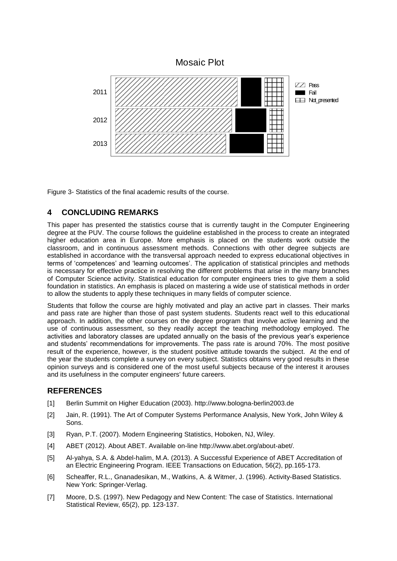

Figure 3- Statistics of the final academic results of the course.

## **4 CONCLUDING REMARKS**

This paper has presented the statistics course that is currently taught in the Computer Engineering degree at the PUV. The course follows the guideline established in the process to create an integrated higher education area in Europe. More emphasis is placed on the students work outside the classroom, and in continuous assessment methods. Connections with other degree subjects are established in accordance with the transversal approach needed to express educational objectives in terms of 'competences' and 'learning outcomes'. The application of statistical principles and methods is necessary for effective practice in resolving the different problems that arise in the many branches of Computer Science activity. Statistical education for computer engineers tries to give them a solid foundation in statistics. An emphasis is placed on mastering a wide use of statistical methods in order to allow the students to apply these techniques in many fields of computer science.

Students that follow the course are highly motivated and play an active part in classes. Their marks and pass rate are higher than those of past system students. Students react well to this educational approach. In addition, the other courses on the degree program that involve active learning and the use of continuous assessment, so they readily accept the teaching methodology employed. The activities and laboratory classes are updated annually on the basis of the previous year's experience and students' recommendations for improvements. The pass rate is around 70%. The most positive result of the experience, however, is the student positive attitude towards the subject. At the end of the year the students complete a survey on every subject. Statistics obtains very good results in these opinion surveys and is considered one of the most useful subjects because of the interest it arouses and its usefulness in the computer engineers' future careers.

## **REFERENCES**

- [1] Berlin Summit on Higher Education (2003). [http://www.bologna-berlin2003.de](http://www.bologna-berlin2003.de/)
- [2] Jain, R. (1991). The Art of Computer Systems Performance Analysis, New York, John Wiley & Sons.
- [3] Ryan, P.T. (2007). Modern Engineering Statistics, Hoboken, NJ, Wiley.
- [4] ABET (2012). About ABET. Available on-line http://www.abet.org/about-abet/.
- [5] Al-yahya, S.A. & Abdel-halim, M.A. (2013). A Successful Experience of ABET Accreditation of an Electric Engineering Program. IEEE Transactions on Education, 56(2), pp.165-173.
- [6] Scheaffer, R.L., Gnanadesikan, M., Watkins, A. & Witmer, J. (1996). Activity-Based Statistics. New York: Springer-Verlag.
- [7] Moore, D.S. (1997). New Pedagogy and New Content: The case of Statistics. International Statistical Review, 65(2), pp. 123-137.